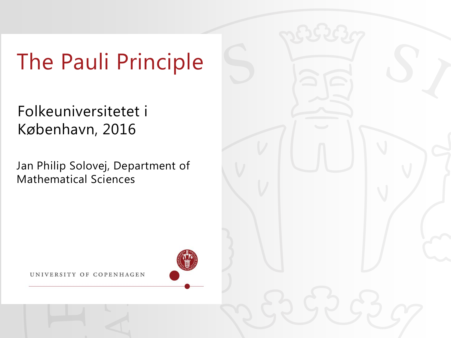# The Pauli Principle

Folkeuniversitetet i København, 2016

Jan Philip Solovej, Department of Mathematical Sciences

UNIVERSITY OF COPENHAGEN

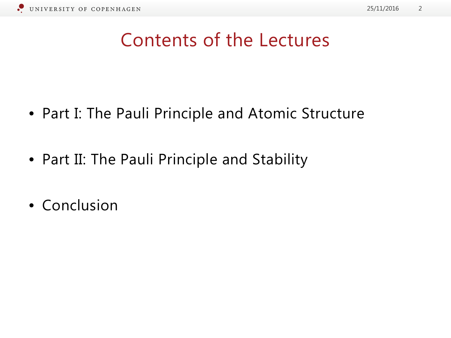

#### Contents of the Lectures

- Part I: The Pauli Principle and Atomic Structure
- Part II: The Pauli Principle and Stability
- Conclusion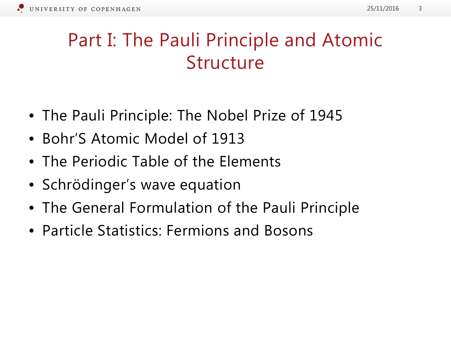#### Part I: The Pauli Principle and Atomic Structure

- The Pauli Principle: The Nobel Prize of 1945
- Bohr'S Atomic Model of 1913
- The Periodic Table of the Elements
- Schrödinger's wave equation
- The General Formulation of the Pauli Principle
- Particle Statistics: Fermions and Bosons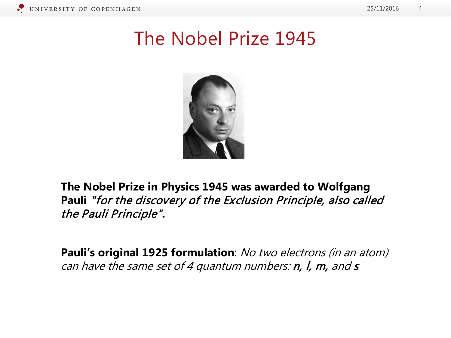#### The Nobel Prize 1945



**The Nobel Prize in Physics 1945 was awarded to Wolfgang Pauli** "for the discovery of the Exclusion Principle, also called the Pauli Principle"**.**

Pauli's original 1925 formulation: No two electrons (in an atom) can have the same set of 4 quantum numbers:  $n$ ,  $l$ ,  $m$ , and  $s$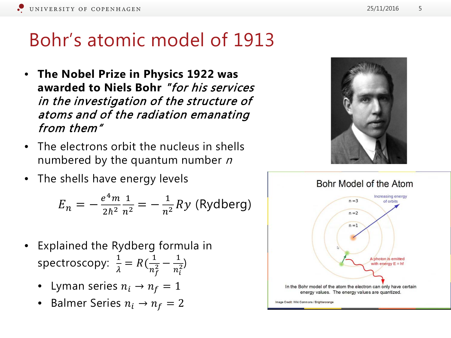#### Bohr's atomic model of 1913

- **The Nobel Prize in Physics 1922 was awarded to Niels Bohr** "for his services in the investigation of the structure of atoms and of the radiation emanating from them"
- The electrons orbit the nucleus in shells numbered by the quantum number  $n$
- The shells have energy levels

$$
E_n = -\frac{e^4 m}{2h^2} \frac{1}{n^2} = -\frac{1}{n^2} R y \text{ (Rydberg)}
$$

- Explained the Rydberg formula in spectroscopy:  $\frac{1}{3}$  $\frac{1}{\lambda} = R\left(\frac{1}{n_1^2}\right)$  $n_f^2$  $\frac{1}{2} - \frac{1}{n^2}$  $n_i$  $\frac{1}{2}$ 
	- Lyman series  $n_i \rightarrow n_f = 1$
	- Balmer Series  $n_i \rightarrow n_f = 2$



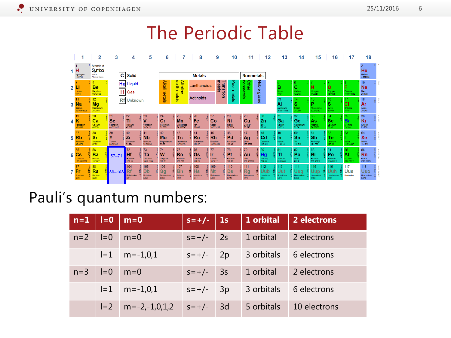#### The Periodic Table



#### Pauli's quantum numbers:

| $n=1$   $l=0$ |       | $m=0$                 | $s = +/-$   1s |    | 1 orbital  | 2 electrons  |
|---------------|-------|-----------------------|----------------|----|------------|--------------|
| $n=2$         | $I=0$ | $m=0$                 | $S = +/-$      | 2s | 1 orbital  | 2 electrons  |
|               | $I=1$ | $m = -1, 0, 1$        | $s = +/-$ 2p   |    | 3 orbitals | 6 electrons  |
| $n=3$         | $I=0$ | $m=0$                 | $S = +/-$      | 3s | 1 orbital  | 2 electrons  |
|               | $I=1$ | $m = -1.0.1$          | $S = +/-$      | 3p | 3 orbitals | 6 electrons  |
|               | $I=2$ | $m = -2, -1, 0, 1, 2$ | $S = +/-$      | 3d | 5 orbitals | 10 electrons |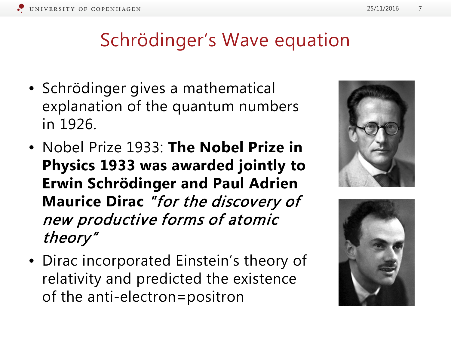

#### Schrödinger's Wave equation

- Schrödinger gives a mathematical explanation of the quantum numbers in 1926.
- Nobel Prize 1933: **The Nobel Prize in Physics 1933 was awarded jointly to Erwin Schrödinger and Paul Adrien Maurice Dirac** "for the discovery of new productive forms of atomic theory"
- Dirac incorporated Einstein's theory of relativity and predicted the existence of the anti-electron=positron



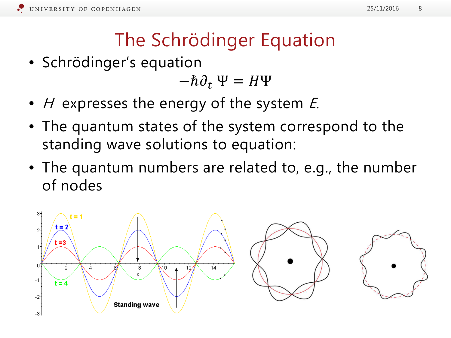# The Schrödinger Equation

• Schrödinger's equation

$$
-\hbar\partial_t\Psi = H\Psi
$$

- $H$  expresses the energy of the system  $E$ .
- The quantum states of the system correspond to the standing wave solutions to equation:
- The quantum numbers are related to, e.g., the number of nodes

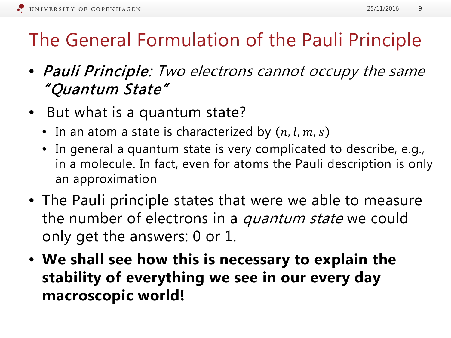# The General Formulation of the Pauli Principle

- Pauli Principle: Two electrons cannot occupy the same "Quantum State"
- But what is a quantum state?
	- In an atom a state is characterized by  $(n, l, m, s)$
	- In general a quantum state is very complicated to describe, e.g., in a molecule. In fact, even for atoms the Pauli description is only an approximation
- The Pauli principle states that were we able to measure the number of electrons in a *quantum state* we could only get the answers: 0 or 1.
- **We shall see how this is necessary to explain the stability of everything we see in our every day macroscopic world!**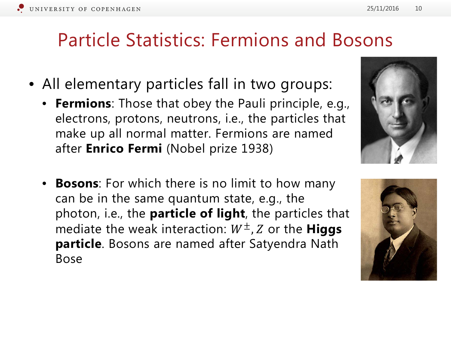#### Particle Statistics: Fermions and Bosons

- All elementary particles fall in two groups:
	- **Fermions**: Those that obey the Pauli principle, e.g., electrons, protons, neutrons, i.e., the particles that make up all normal matter. Fermions are named after **Enrico Fermi** (Nobel prize 1938)
	- **Bosons**: For which there is no limit to how many can be in the same quantum state, e.g., the photon, i.e., the **particle of light**, the particles that mediate the weak interaction:  $W^{\pm}$ , Z or the **Higgs particle**. Bosons are named after Satyendra Nath Bose





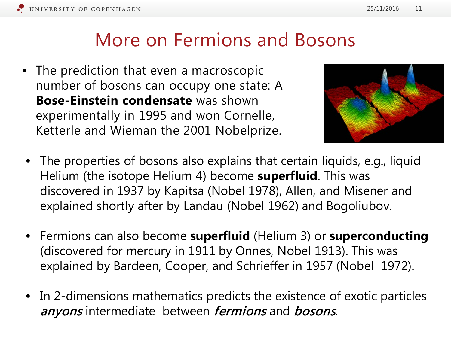#### More on Fermions and Bosons

• The prediction that even a macroscopic number of bosons can occupy one state: A **Bose-Einstein condensate** was shown experimentally in 1995 and won Cornelle, Ketterle and Wieman the 2001 Nobelprize.



- The properties of bosons also explains that certain liquids, e.g., liquid Helium (the isotope Helium 4) become **superfluid**. This was discovered in 1937 by Kapitsa (Nobel 1978), Allen, and Misener and explained shortly after by Landau (Nobel 1962) and Bogoliubov.
- Fermions can also become **superfluid** (Helium 3) or **superconducting** (discovered for mercury in 1911 by Onnes, Nobel 1913). This was explained by Bardeen, Cooper, and Schrieffer in 1957 (Nobel 1972).
- In 2-dimensions mathematics predicts the existence of exotic particles anyons intermediate between fermions and bosons.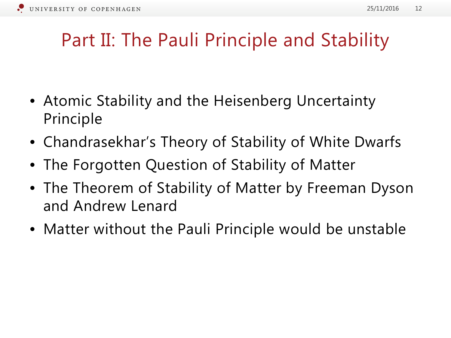#### Part II: The Pauli Principle and Stability

- Atomic Stability and the Heisenberg Uncertainty Principle
- Chandrasekhar's Theory of Stability of White Dwarfs
- The Forgotten Question of Stability of Matter
- The Theorem of Stability of Matter by Freeman Dyson and Andrew Lenard
- Matter without the Pauli Principle would be unstable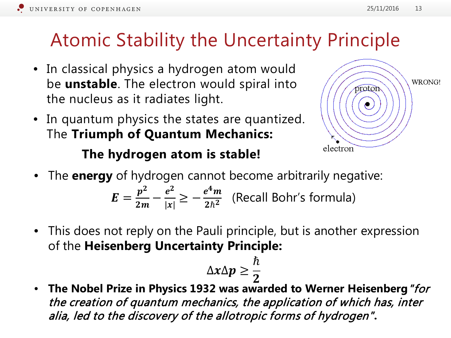# Atomic Stability the Uncertainty Principle

- In classical physics a hydrogen atom would be **unstable**. The electron would spiral into the nucleus as it radiates light.
- In quantum physics the states are quantized. The **Triumph of Quantum Mechanics:**



#### **The hydrogen atom is stable!**

• The **energy** of hydrogen cannot become arbitrarily negative:

 $E=$  $\frac{p^2}{2m} - \frac{e^2}{|x|} \ge -\frac{e^4m}{2\hbar^2}$  (Recall Bohr's formula)

• This does not reply on the Pauli principle, but is another expression of the **Heisenberg Uncertainty Principle:**

$$
\Delta x \Delta p \geq \frac{\hbar}{2}
$$

2<br>... • **The Nobel Prize in Physics 1932 was awarded to Werner Heisenberg**"for the creation of quantum mechanics, the application of which has, inter alia, led to the discovery of the allotropic forms of hydrogen"**.**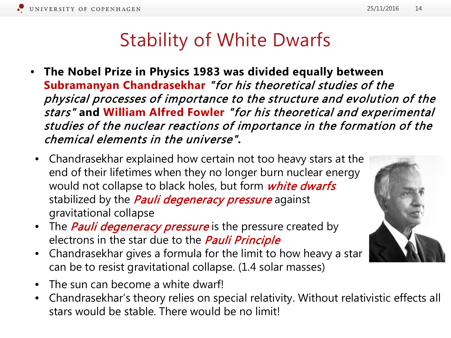#### Stability of White Dwarfs

- **The Nobel Prize in Physics 1983 was divided equally between Subramanyan Chandrasekhar** "for his theoretical studies of the physical processes of importance to the structure and evolution of the stars" **and William Alfred Fowler** "for his theoretical and experimental studies of the nuclear reactions of importance in the formation of the chemical elements in the universe"**.**
- Chandrasekhar explained how certain not too heavy stars at the end of their lifetimes when they no longer burn nuclear energy would not collapse to black holes, but form *white dwarfs* stabilized by the *Pauli degeneracy pressure* against gravitational collapse
- The *Pauli degeneracy pressure* is the pressure created by electrons in the star due to the *Pauli Principle*
- Chandrasekhar gives a formula for the limit to how heavy a star can be to resist gravitational collapse. (1.4 solar masses)
- The sun can become a white dwarf!
- Chandrasekhar's theory relies on special relativity. Without relativistic effects all stars would be stable. There would be no limit!

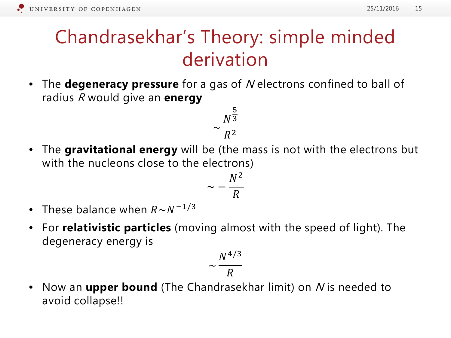## Chandrasekhar's Theory: simple minded derivation

• The **degeneracy pressure** for a gas of N electrons confined to ball of radius <sup>R</sup> would give an **energy**

$$
\sim \frac{N^{\frac{5}{3}}}{R^2}
$$

• The **gravitational energy** will be (the mass is not with the electrons but with the nucleons close to the electrons)

$$
\sim -\frac{N^2}{R}
$$

- These balance when  $R \sim N^{-1/3}$
- For **relativistic particles** (moving almost with the speed of light). The degeneracy energy is

$$
\sim \frac{N^{4/3}}{R}
$$

• Now an **upper bound** (The Chandrasekhar limit) on N is needed to avoid collapse!!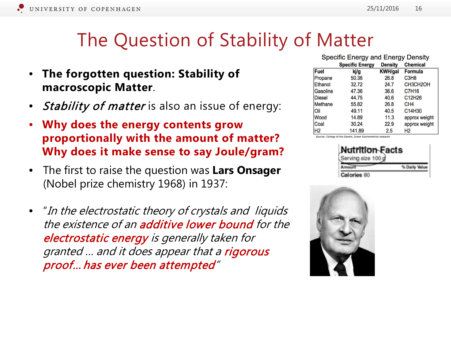#### The Question of Stability of Matter

- **The forgotten question: Stability of macroscopic Matter**.
- *Stability of matter* is also an issue of energy:
- **Why does the energy contents grow proportionally with the amount of matter? Why does it make sense to say Joule/gram?**
- The first to raise the question was **Lars Onsager**  (Nobel prize chemistry 1968) in 1937:
- "In the electrostatic theory of crystals and liquids the existence of an **additive lower bound** for the electrostatic energy is generally taken for granted ... and it does appear that a rigorous proof… has ever been attempted"

| Specific Energy and Energy Density |                        |                |                               |  |  |  |  |
|------------------------------------|------------------------|----------------|-------------------------------|--|--|--|--|
|                                    | <b>Specific Energy</b> | <b>Density</b> | <b>Chemical</b>               |  |  |  |  |
| Fuel                               | ki/g                   | <b>KWH/gal</b> | Formula                       |  |  |  |  |
| Propane                            | 50.36                  | 26.8           | C <sub>3</sub> H <sub>8</sub> |  |  |  |  |
| Ethanol                            | 32.72                  | 24.7           | CH3CH2OH                      |  |  |  |  |
| Gasoline                           | 47.36                  | 36.6           | C7H16                         |  |  |  |  |
| Diesel                             | 44.75                  | 40.6           | C12H26                        |  |  |  |  |
| Methane                            | 55.82                  | 26.8           | CH <sub>4</sub>               |  |  |  |  |
| Oil                                | 49.11                  | 40.5           | C14H30                        |  |  |  |  |
| Wood                               | 14.89                  | 11.3           | approx weight                 |  |  |  |  |
| Coal                               | 30.24                  | 22.9           | approx weight                 |  |  |  |  |
| Н2                                 | 141.89                 | 2.5            | H <sub>2</sub>                |  |  |  |  |

Source: College of the Desert, Green Econometrics research

| trition Fac<br>.e |  |  |  |  |  |  |
|-------------------|--|--|--|--|--|--|
|                   |  |  |  |  |  |  |
|                   |  |  |  |  |  |  |

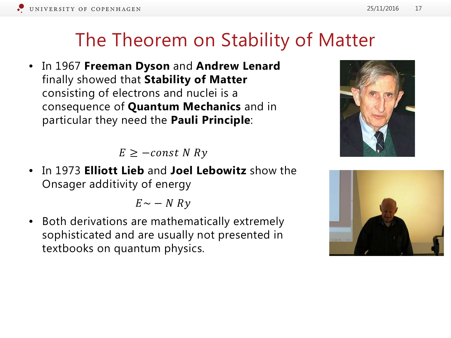#### The Theorem on Stability of Matter

• In 1967 **Freeman Dyson** and **Andrew Lenard**  finally showed that **Stability of Matter**  consisting of electrons and nuclei is a consequence of **Quantum Mechanics** and in particular they need the **Pauli Principle**:

 $E \geq -const \ N \ Ry$ 

• In 1973 **Elliott Lieb** and **Joel Lebowitz** show the Onsager additivity of energy

 $E \sim - N R y$ 

• Both derivations are mathematically extremely sophisticated and are usually not presented in textbooks on quantum physics.



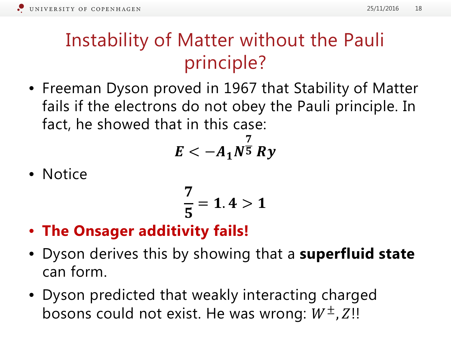### Instability of Matter without the Pauli principle?

• Freeman Dyson proved in 1967 that Stability of Matter fails if the electrons do not obey the Pauli principle. In fact, he showed that in this case:

$$
E<-A_1N^{\frac{7}{5}}Ry
$$

• Notice

$$
\frac{7}{5} = 1.4 > 1
$$

- **The Onsager additivity fails!**
- Dyson derives this by showing that a **superfluid state**  can form.
- Dyson predicted that weakly interacting charged bosons could not exist. He was wrong:  $W^\pm$ , Z!!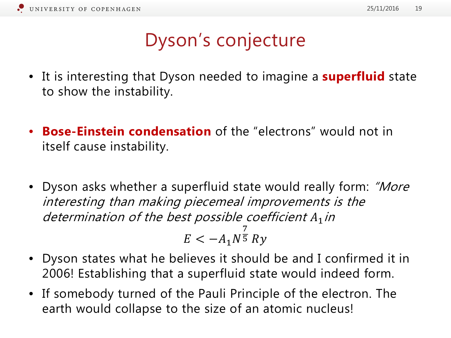### Dyson's conjecture

- It is interesting that Dyson needed to imagine a **superfluid** state to show the instability.
- **Bose-Einstein condensation** of the "electrons" would not in itself cause instability.
- Dyson asks whether a superfluid state would really form: "More interesting than making piecemeal improvements is the determination of the best possible coefficient  $A_1$  in

$$
E < -A_1 N^{\frac{7}{5}} R y
$$

- Dyson states what he believes it should be and I confirmed it in 2006! Establishing that a superfluid state would indeed form.
- If somebody turned of the Pauli Principle of the electron. The earth would collapse to the size of an atomic nucleus!